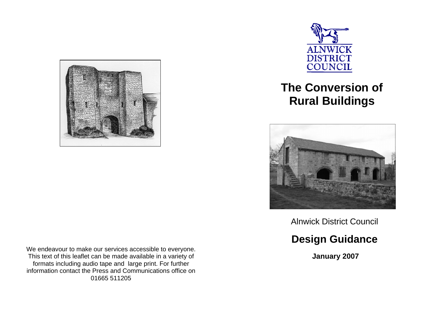

**ALNWICK DISTRICT** COUNCIL

# **The Conversion of Rural Buildings**



Alnwick District Council

## **Design Guidance**

 **January 2007** 

We endeavour to make our services accessible to everyone. This text of this leaflet can be made available in a variety of formats including audio tape and large print. For further information contact the Press and Communications office on 01665 511205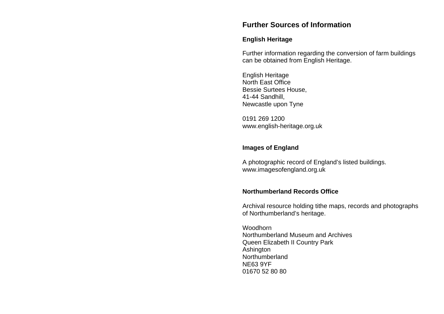### **Further Sources of Information**

#### **English Heritage**

Further information regarding the conversion of farm buildings can be obtained from English Heritage.

English Heritage North East Office Bessie Surtees House, 41-44 Sandhill, Newcastle upon Tyne

0191 269 1200 www.english-heritage.org.uk

#### **Images of England**

A photographic record of England's listed buildings. www.imagesofengland.org.uk

### **Northumberland Records Office**

Archival resource holding tithe maps, records and photographs of Northumberland's heritage.

Woodhorn Northumberland Museum and Archives Queen Elizabeth II Country Park Ashington Northumberland NE63 9YF 01670 52 80 80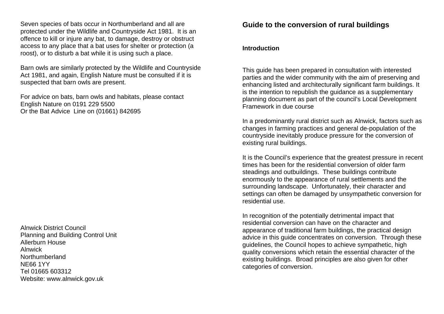Seven species of bats occur in Northumberland and all are protected under the Wildlife and Countryside Act 1981. It is an offence to kill or injure any bat, to damage, destroy or obstruct access to any place that a bat uses for shelter or protection (a roost), or to disturb a bat while it is using such a place.

Barn owls are similarly protected by the Wildlife and Countryside Act 1981, and again, English Nature must be consulted if it is suspected that barn owls are present.

For advice on bats, barn owls and habitats, please contact English Nature on 0191 229 5500 Or the Bat Advice Line on (01661) 842695

Alnwick District Council Planning and Building Control Unit Allerburn House Alnwick Northumberland NE66 1YY Tel 01665 603312 Website: www.alnwick.gov.uk

### **Guide to the conversion of rural buildings**

#### **Introduction**

This guide has been prepared in consultation with interested parties and the wider community with the aim of preserving and enhancing listed and architecturally significant farm buildings. It is the intention to republish the guidance as a supplementary planning document as part of the council's Local Development Framework in due course

In a predominantly rural district such as Alnwick, factors such as changes in farming practices and general de-population of the countryside inevitably produce pressure for the conversion of existing rural buildings.

It is the Council's experience that the greatest pressure in recent times has been for the residential conversion of older farm steadings and outbuildings. These buildings contribute enormously to the appearance of rural settlements and the surrounding landscape. Unfortunately, their character and settings can often be damaged by unsympathetic conversion for residential use.

In recognition of the potentially detrimental impact that residential conversion can have on the character and appearance of traditional farm buildings, the practical design advice in this guide concentrates on conversion. Through these guidelines, the Council hopes to achieve sympathetic, high quality conversions which retain the essential character of the existing buildings. Broad principles are also given for other categories of conversion.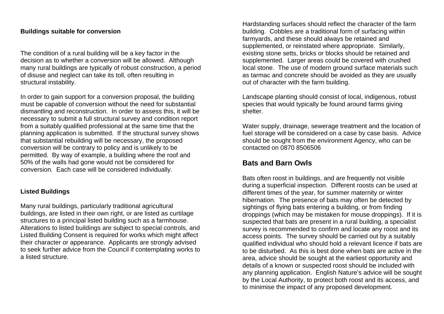#### **Buildings suitable for conversion**

The condition of a rural building will be a key factor in the decision as to whether a conversion will be allowed. Although many rural buildings are typically of robust construction, a period of disuse and neglect can take its toll, often resulting in structural instability.

In order to gain support for a conversion proposal, the building must be capable of conversion without the need for substantial dismantling and reconstruction. In order to assess this, it will be necessary to submit a full structural survey and condition report from a suitably qualified professional at the same time that the planning application is submitted. If the structural survey shows that substantial rebuilding will be necessary, the proposed conversion will be contrary to policy and is unlikely to be permitted. By way of example, a building where the roof and 50% of the walls had gone would not be considered for conversion. Each case will be considered individually.

### **Listed Buildings**

Many rural buildings, particularly traditional agricultural buildings, are listed in their own right, or are listed as curtilage structures to a principal listed building such as a farmhouse. Alterations to listed buildings are subject to special controls, and Listed Building Consent is required for works which might affect their character or appearance. Applicants are strongly advised to seek further advice from the Council if contemplating works to a listed structure.

Hardstanding surfaces should reflect the character of the farm building. Cobbles are a traditional form of surfacing within farmyards, and these should always be retained and supplemented, or reinstated where appropriate. Similarly, existing stone setts, bricks or blocks should be retained and supplemented. Larger areas could be covered with crushed local stone. The use of modern ground surface materials such as tarmac and concrete should be avoided as they are usually out of character with the farm building.

Landscape planting should consist of local, indigenous, robust species that would typically be found around farms giving shelter.

Water supply, drainage, sewerage treatment and the location of fuel storage will be considered on a case by case basis. Advice should be sought from the environment Agency, who can be contacted on 0870 8506506

### **Bats and Barn Owls**

Bats often roost in buildings, and are frequently not visible during a superficial inspection. Different roosts can be used at different times of the year, for summer maternity or winter hibernation. The presence of bats may often be detected by sightings of flying bats entering a building, or from finding droppings (which may be mistaken for mouse droppings). If it is suspected that bats are present in a rural building, a specialist survey is recommended to confirm and locate any roost and its access points. The survey should be carried out by a suitably qualified individual who should hold a relevant licence if bats are to be disturbed. As this is best done when bats are active in the area, advice should be sought at the earliest opportunity and details of a known or suspected roost should be included with any planning application. English Nature's advice will be sought by the Local Authority, to protect both roost and its access, and to minimise the impact of any proposed development.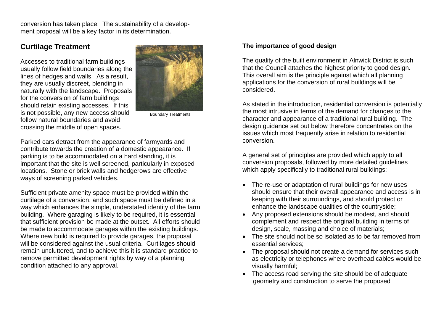conversion has taken place. The sustainability of a development proposal will be a key factor in its determination.

### **Curtilage Treatment**

Accesses to traditional farm buildings usually follow field boundaries along the lines of hedges and walls. As a result, they are usually discreet, blending in naturally with the landscape. Proposals for the conversion of farm buildings should retain existing accesses. If this is not possible, any new access should follow natural boundaries and avoid crossing the middle of open spaces.



Boundary Treatments

Parked cars detract from the appearance of farmyards and contribute towards the creation of a domestic appearance. If parking is to be accommodated on a hard standing, it is important that the site is well screened, particularly in exposed locations. Stone or brick walls and hedgerows are effective ways of screening parked vehicles.

Sufficient private amenity space must be provided within the curtilage of a conversion, and such space must be defined in a way which enhances the simple, understated identity of the farm building. Where garaging is likely to be required, it is essential that sufficient provision be made at the outset. All efforts should be made to accommodate garages within the existing buildings. Where new build is required to provide garages, the proposal will be considered against the usual criteria. Curtilages should remain uncluttered, and to achieve this it is standard practice to remove permitted development rights by way of a planning condition attached to any approval.

### **The importance of good design**

The quality of the built environment in Alnwick District is such that the Council attaches the highest priority to good design. This overall aim is the principle against which all planning applications for the conversion of rural buildings will be considered.

As stated in the introduction, residential conversion is potentially the most intrusive in terms of the demand for changes to the character and appearance of a traditional rural building. The design guidance set out below therefore concentrates on the issues which most frequently arise in relation to residential conversion.

A general set of principles are provided which apply to all conversion proposals, followed by more detailed guidelines which apply specifically to traditional rural buildings:

- The re-use or adaptation of rural buildings for new uses should ensure that their overall appearance and access is in keeping with their surroundings, and should protect or enhance the landscape qualities of the countryside;
- Any proposed extensions should be modest, and should complement and respect the original building in terms of design, scale, massing and choice of materials;
- The site should not be so isolated as to be far removed from essential services;
- The proposal should not create a demand for services such as electricity or telephones where overhead cables would be visually harmful;
- The access road serving the site should be of adequate geometry and construction to serve the proposed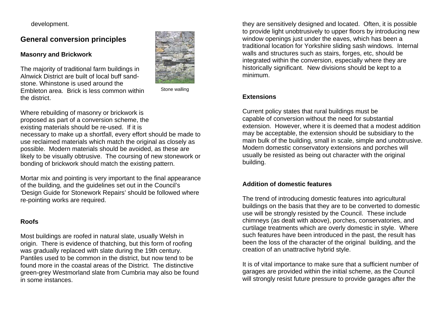development.

**General conversion principles** 

### **Masonry and Brickwork**

The majority of traditional farm buildings in Alnwick District are built of local buff sandstone. Whinstone is used around the Embleton area. Brick is less common within the district.



Stone walling

Where rebuilding of masonry or brickwork is proposed as part of a conversion scheme, the existing materials should be re-used. If it is necessary to make up a shortfall, every effort should be made to use reclaimed materials which match the original as closely as

possible. Modern materials should be avoided, as these are likely to be visually obtrusive. The coursing of new stonework or bonding of brickwork should match the existing pattern.

Mortar mix and pointing is very important to the final appearance of the building, and the guidelines set out in the Council's *'*Design Guide for Stonework Repairs' should be followed where re-pointing works are required.

### **Roofs**

Most buildings are roofed in natural slate, usually Welsh in origin. There is evidence of thatching, but this form of roofing was gradually replaced with slate during the 19th century. Pantiles used to be common in the district, but now tend to be found more in the coastal areas of the District. The distinctive green-grey Westmorland slate from Cumbria may also be found in some instances.

they are sensitively designed and located. Often, it is possible to provide light unobtrusively to upper floors by introducing new window openings just under the eaves, which has been a traditional location for Yorkshire sliding sash windows. Internal walls and structures such as stairs, forges, etc, should be integrated within the conversion, especially where they are historically significant. New divisions should be kept to a minimum.

### **Extensions**

Current policy states that rural buildings must be capable of conversion without the need for substantial extension. However, where it is deemed that a modest addition may be acceptable, the extension should be subsidiary to the main bulk of the building, small in scale, simple and unobtrusive. Modern domestic conservatory extensions and porches will usually be resisted as being out character with the original building.

### **Addition of domestic features**

The trend of introducing domestic features into agricultural buildings on the basis that they are to be converted to domestic use will be strongly resisted by the Council. These include chimneys (as dealt with above), porches, conservatories, and curtilage treatments which are overly domestic in style. Where such features have been introduced in the past, the result has been the loss of the character of the original building, and the creation of an unattractive hybrid style.

It is of vital importance to make sure that a sufficient number of garages are provided within the initial scheme, as the Council will strongly resist future pressure to provide garages after the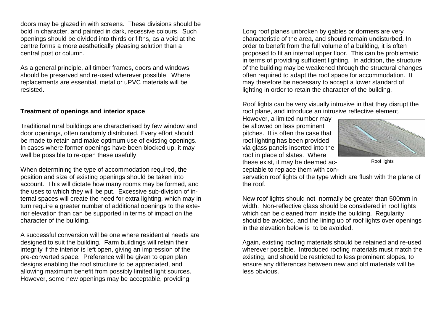doors may be glazed in with screens. These divisions should be bold in character, and painted in dark, recessive colours. Such openings should be divided into thirds or fifths, as a void at the centre forms a more aesthetically pleasing solution than a central post or column.

As a general principle, all timber frames, doors and windows should be preserved and re-used wherever possible. Where replacements are essential, metal or uPVC materials will be resisted.

#### **Treatment of openings and interior space**

Traditional rural buildings are characterised by few window and door openings, often randomly distributed. Every effort should be made to retain and make optimum use of existing openings. In cases where former openings have been blocked up, it may well be possible to re-open these usefully.

When determining the type of accommodation required, the position and size of existing openings should be taken into account. This will dictate how many rooms may be formed, and the uses to which they will be put. Excessive sub-division of internal spaces will create the need for extra lighting, which may in turn require a greater number of additional openings to the exterior elevation than can be supported in terms of impact on the character of the building.

A successful conversion will be one where residential needs are designed to suit the building. Farm buildings will retain their integrity if the interior is left open, giving an impression of the pre-converted space. Preference will be given to open plan designs enabling the roof structure to be appreciated, and allowing maximum benefit from possibly limited light sources. However, some new openings may be acceptable, providing

Long roof planes unbroken by gables or dormers are very characteristic of the area, and should remain undisturbed. In order to benefit from the full volume of a building, it is often proposed to fit an internal upper floor. This can be problematic in terms of providing sufficient lighting. In addition, the structure of the building may be weakened through the structural changes often required to adapt the roof space for accommodation. It may therefore be necessary to accept a lower standard of lighting in order to retain the character of the building.

Roof lights can be very visually intrusive in that they disrupt the roof plane, and introduce an intrusive reflective element.

However, a limited number may be allowed on less prominent pitches. It is often the case that roof lighting has been provided via glass panels inserted into the roof in place of slates. Where these exist, it may be deemed acceptable to replace them with con-





servation roof lights of the type which are flush with the plane of the roof.

New roof lights should not normally be greater than 500mm in width. Non-reflective glass should be considered in roof lights which can be cleaned from inside the building. Regularity should be avoided, and the lining up of roof lights over openings in the elevation below is to be avoided.

Again, existing roofing materials should be retained and re-used wherever possible. Introduced roofing materials must match the existing, and should be restricted to less prominent slopes, to ensure any differences between new and old materials will be less obvious.